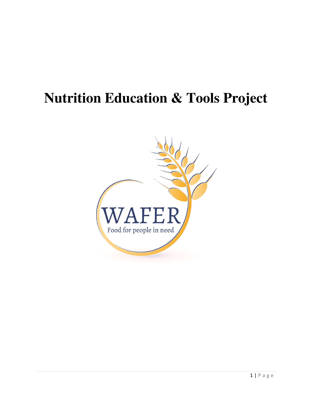# **Nutrition Education & Tools Project**

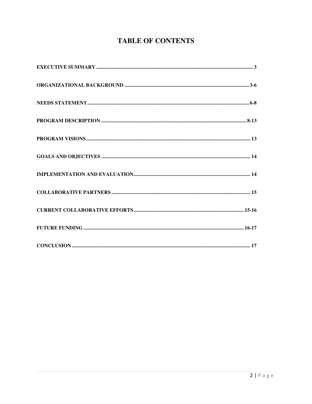# **TABLE OF CONTENTS**

| $\textbf{CONCLUSION} \textcolor{red}{.}\textbf{} \textcolor{red}{.}\textbf{} \textcolor{red}{.}\textbf{} \textcolor{red}{.}\textbf{} \textcolor{red}{.}\textbf{} \textcolor{red}{.}\textbf{} \textcolor{red}{.}\textbf{} \textcolor{red}{.}\textbf{} \textcolor{red}{.}\textbf{} \textcolor{red}{.}\textbf{} \textcolor{red}{.}\textbf{} \textcolor{red}{.}\textbf{} \textcolor{red}{.}\textbf{} \textcolor{red}{.}\textbf{} \textcolor{red}{.}\textbf{} \textcolor{red}{.}\textbf{} \textcolor{red$ |
|------------------------------------------------------------------------------------------------------------------------------------------------------------------------------------------------------------------------------------------------------------------------------------------------------------------------------------------------------------------------------------------------------------------------------------------------------------------------------------------------------|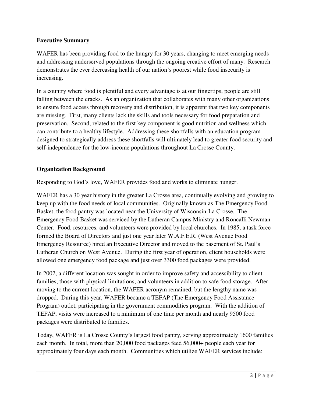## **Executive Summary**

WAFER has been providing food to the hungry for 30 years, changing to meet emerging needs and addressing underserved populations through the ongoing creative effort of many. Research demonstrates the ever decreasing health of our nation's poorest while food insecurity is increasing.

In a country where food is plentiful and every advantage is at our fingertips, people are still falling between the cracks. As an organization that collaborates with many other organizations to ensure food access through recovery and distribution, it is apparent that two key components are missing. First, many clients lack the skills and tools necessary for food preparation and preservation. Second, related to the first key component is good nutrition and wellness which can contribute to a healthy lifestyle. Addressing these shortfalls with an education program designed to strategically address these shortfalls will ultimately lead to greater food security and self-independence for the low-income populations throughout La Crosse County.

## **Organization Background**

Responding to God's love, WAFER provides food and works to eliminate hunger.

WAFER has a 30 year history in the greater La Crosse area, continually evolving and growing to keep up with the food needs of local communities. Originally known as The Emergency Food Basket, the food pantry was located near the University of Wisconsin-La Crosse. The Emergency Food Basket was serviced by the Lutheran Campus Ministry and Roncalli Newman Center. Food, resources, and volunteers were provided by local churches. In 1985, a task force formed the Board of Directors and just one year later W.A.F.E.R. (West Avenue Food Emergency Resource) hired an Executive Director and moved to the basement of St. Paul's Lutheran Church on West Avenue. During the first year of operation, client households were allowed one emergency food package and just over 3300 food packages were provided.

In 2002, a different location was sought in order to improve safety and accessibility to client families, those with physical limitations, and volunteers in addition to safe food storage. After moving to the current location, the WAFER acronym remained, but the lengthy name was dropped. During this year, WAFER became a TEFAP (The Emergency Food Assistance Program) outlet, participating in the government commodities program. With the addition of TEFAP, visits were increased to a minimum of one time per month and nearly 9500 food packages were distributed to families.

Today, WAFER is La Crosse County's largest food pantry, serving approximately 1600 families each month. In total, more than 20,000 food packages feed 56,000+ people each year for approximately four days each month. Communities which utilize WAFER services include: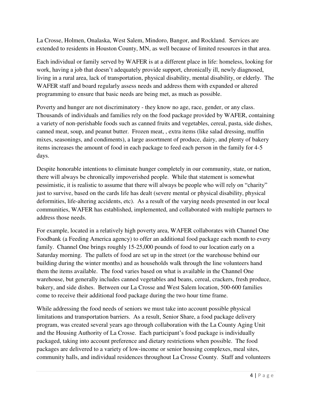La Crosse, Holmen, Onalaska, West Salem, Mindoro, Bangor, and Rockland. Services are extended to residents in Houston County, MN, as well because of limited resources in that area.

Each individual or family served by WAFER is at a different place in life: homeless, looking for work, having a job that doesn't adequately provide support, chronically ill, newly diagnosed, living in a rural area, lack of transportation, physical disability, mental disability, or elderly. The WAFER staff and board regularly assess needs and address them with expanded or altered programming to ensure that basic needs are being met, as much as possible.

Poverty and hunger are not discriminatory - they know no age, race, gender, or any class. Thousands of individuals and families rely on the food package provided by WAFER, containing a variety of non-perishable foods such as canned fruits and vegetables, cereal, pasta, side dishes, canned meat, soup, and peanut butter. Frozen meat, , extra items (like salad dressing, muffin mixes, seasonings, and condiments), a large assortment of produce, dairy, and plenty of bakery items increases the amount of food in each package to feed each person in the family for 4-5 days.

Despite honorable intentions to eliminate hunger completely in our community, state, or nation, there will always be chronically impoverished people. While that statement is somewhat pessimistic, it is realistic to assume that there will always be people who will rely on "charity" just to survive, based on the cards life has dealt (severe mental or physical disability, physical deformities, life-altering accidents, etc). As a result of the varying needs presented in our local communities, WAFER has established, implemented, and collaborated with multiple partners to address those needs.

For example, located in a relatively high poverty area, WAFER collaborates with Channel One Foodbank (a Feeding America agency) to offer an additional food package each month to every family. Channel One brings roughly 15-25,000 pounds of food to our location early on a Saturday morning. The pallets of food are set up in the street (or the warehouse behind our building during the winter months) and as households walk through the line volunteers hand them the items available. The food varies based on what is available in the Channel One warehouse, but generally includes canned vegetables and beans, cereal, crackers, fresh produce, bakery, and side dishes. Between our La Crosse and West Salem location, 500-600 families come to receive their additional food package during the two hour time frame.

While addressing the food needs of seniors we must take into account possible physical limitations and transportation barriers. As a result, Senior Share, a food package delivery program, was created several years ago through collaboration with the La County Aging Unit and the Housing Authority of La Crosse. Each participant's food package is individually packaged, taking into account preference and dietary restrictions when possible. The food packages are delivered to a variety of low-income or senior housing complexes, meal sites, community halls, and individual residences throughout La Crosse County. Staff and volunteers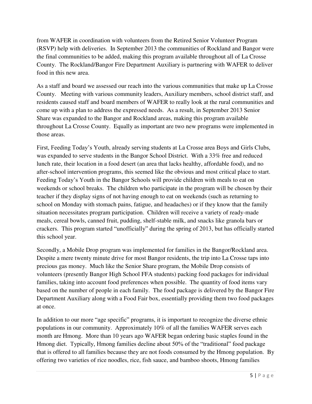from WAFER in coordination with volunteers from the Retired Senior Volunteer Program (RSVP) help with deliveries. In September 2013 the communities of Rockland and Bangor were the final communities to be added, making this program available throughout all of La Crosse County. The Rockland/Bangor Fire Department Auxiliary is partnering with WAFER to deliver food in this new area.

As a staff and board we assessed our reach into the various communities that make up La Crosse County. Meeting with various community leaders, Auxiliary members, school district staff, and residents caused staff and board members of WAFER to really look at the rural communities and come up with a plan to address the expressed needs. As a result, in September 2013 Senior Share was expanded to the Bangor and Rockland areas, making this program available throughout La Crosse County. Equally as important are two new programs were implemented in those areas.

First, Feeding Today's Youth, already serving students at La Crosse area Boys and Girls Clubs, was expanded to serve students in the Bangor School District. With a 33% free and reduced lunch rate, their location in a food desert (an area that lacks healthy, affordable food), and no after-school intervention programs, this seemed like the obvious and most critical place to start. Feeding Today's Youth in the Bangor Schools will provide children with meals to eat on weekends or school breaks. The children who participate in the program will be chosen by their teacher if they display signs of not having enough to eat on weekends (such as returning to school on Monday with stomach pains, fatigue, and headaches) or if they know that the family situation necessitates program participation. Children will receive a variety of ready-made meals, cereal bowls, canned fruit, pudding, shelf-stable milk, and snacks like granola bars or crackers. This program started "unofficially" during the spring of 2013, but has officially started this school year.

Secondly, a Mobile Drop program was implemented for families in the Bangor/Rockland area. Despite a mere twenty minute drive for most Bangor residents, the trip into La Crosse taps into precious gas money. Much like the Senior Share program, the Mobile Drop consists of volunteers (presently Bangor High School FFA students) packing food packages for individual families, taking into account food preferences when possible. The quantity of food items vary based on the number of people in each family. The food package is delivered by the Bangor Fire Department Auxiliary along with a Food Fair box, essentially providing them two food packages at once.

In addition to our more "age specific" programs, it is important to recognize the diverse ethnic populations in our community. Approximately 10% of all the families WAFER serves each month are Hmong. More than 10 years ago WAFER began ordering basic staples found in the Hmong diet. Typically, Hmong families decline about 50% of the "traditional" food package that is offered to all families because they are not foods consumed by the Hmong population. By offering two varieties of rice noodles, rice, fish sauce, and bamboo shoots, Hmong families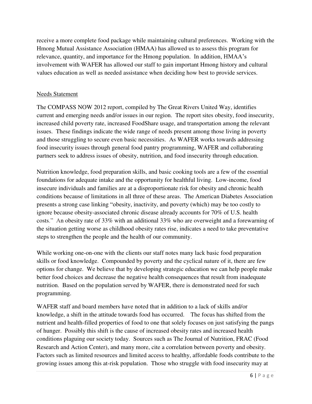receive a more complete food package while maintaining cultural preferences. Working with the Hmong Mutual Assistance Association (HMAA) has allowed us to assess this program for relevance, quantity, and importance for the Hmong population. In addition, HMAA's involvement with WAFER has allowed our staff to gain important Hmong history and cultural values education as well as needed assistance when deciding how best to provide services.

#### Needs Statement

The COMPASS NOW 2012 report, compiled by The Great Rivers United Way, identifies current and emerging needs and/or issues in our region. The report sites obesity, food insecurity, increased child poverty rate, increased FoodShare usage, and transportation among the relevant issues. These findings indicate the wide range of needs present among those living in poverty and those struggling to secure even basic necessities. As WAFER works towards addressing food insecurity issues through general food pantry programming, WAFER and collaborating partners seek to address issues of obesity, nutrition, and food insecurity through education.

Nutrition knowledge, food preparation skills, and basic cooking tools are a few of the essential foundations for adequate intake and the opportunity for healthful living. Low-income, food insecure individuals and families are at a disproportionate risk for obesity and chronic health conditions because of limitations in all three of these areas. The American Diabetes Association presents a strong case linking "obesity, inactivity, and poverty (which) may be too costly to ignore because obesity-associated chronic disease already accounts for 70% of U.S. health costs." An obesity rate of 33% with an additional 33% who are overweight and a forewarning of the situation getting worse as childhood obesity rates rise, indicates a need to take preventative steps to strengthen the people and the health of our community.

While working one-on-one with the clients our staff notes many lack basic food preparation skills or food knowledge. Compounded by poverty and the cyclical nature of it, there are few options for change. We believe that by developing strategic education we can help people make better food choices and decrease the negative health consequences that result from inadequate nutrition. Based on the population served by WAFER, there is demonstrated need for such programming.

WAFER staff and board members have noted that in addition to a lack of skills and/or knowledge, a shift in the attitude towards food has occurred. The focus has shifted from the nutrient and health-filled properties of food to one that solely focuses on just satisfying the pangs of hunger. Possibly this shift is the cause of increased obesity rates and increased health conditions plaguing our society today. Sources such as The Journal of Nutrition, FRAC (Food Research and Action Center), and many more, cite a correlation between poverty and obesity. Factors such as limited resources and limited access to healthy, affordable foods contribute to the growing issues among this at-risk population. Those who struggle with food insecurity may at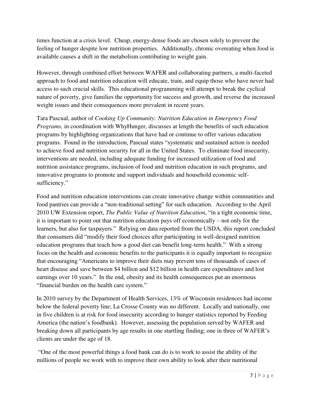times function at a crisis level. Cheap, energy-dense foods are chosen solely to prevent the feeling of hunger despite low nutrition properties. Additionally, chronic overeating when food is available causes a shift in the metabolism contributing to weight gain.

However, through combined effort between WAFER and collaborating partners, a multi-faceted approach to food and nutrition education will educate, train, and equip those who have never had access to such crucial skills. This educational programming will attempt to break the cyclical nature of poverty, give families the opportunity for success and growth, and reverse the increased weight issues and their consequences more prevalent in recent years.

Tara Pascual, author of *Cooking Up Community: Nutrition Education in Emergency Food Programs,* in coordination with WhyHunger, discusses at length the benefits of such education programs by highlighting organizations that have had or continue to offer various education programs. Found in the introduction, Pascual states "systematic and sustained action is needed to achieve food and nutrition security for all in the United States. To eliminate food insecurity, interventions are needed, including adequate funding for increased utilization of food and nutrition assistance programs, inclusion of food and nutrition education in such programs, and innovative programs to promote and support individuals and household economic selfsufficiency."

Food and nutrition education interventions can create innovative change within communities and food pantries can provide a "non-traditional setting" for such education. According to the April 2010 UW Extension report, *The Public Value of Nutrition Education*, "in a tight economic time, it is important to point out that nutrition education pays off economically – not only for the learners, but also for taxpayers." Relying on data reported from the USDA, this report concluded that consumers did "modify their food choices after participating in well-designed nutrition education programs that teach how a good diet can benefit long-term health." With a strong focus on the health and economic benefits to the participants it is equally important to recognize that encouraging "Americans to improve their diets may prevent tens of thousands of cases of heart disease and save between \$4 billion and \$12 billion in health care expenditures and lost earnings over 10 years." In the end, obesity and its health consequences put an enormous "financial burden on the health care system."

In 2010 survey by the Department of Health Services, 13% of Wisconsin residences had income below the federal poverty line; La Crosse County was no different. Locally and nationally, one in five children is at risk for food insecurity according to hunger statistics reported by Feeding America (the nation's foodbank). However, assessing the population served by WAFER and breaking down all participants by age results in one startling finding; one in three of WAFER's clients are under the age of 18.

"One of the most powerful things a food bank can do is to work to assist the ability of the millions of people we work with to improve their own ability to look after their nutritional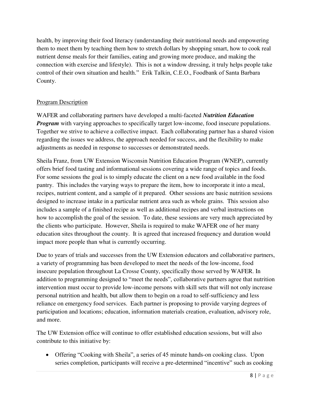health, by improving their food literacy (understanding their nutritional needs and empowering them to meet them by teaching them how to stretch dollars by shopping smart, how to cook real nutrient dense meals for their families, eating and growing more produce, and making the connection with exercise and lifestyle). This is not a window dressing, it truly helps people take control of their own situation and health." Erik Talkin, C.E.O., Foodbank of Santa Barbara County.

# Program Description

WAFER and collaborating partners have developed a multi-faceted *Nutrition Education Program* with varying approaches to specifically target low-income, food insecure populations. Together we strive to achieve a collective impact. Each collaborating partner has a shared vision regarding the issues we address, the approach needed for success, and the flexibility to make adjustments as needed in response to successes or demonstrated needs.

Sheila Franz, from UW Extension Wisconsin Nutrition Education Program (WNEP), currently offers brief food tasting and informational sessions covering a wide range of topics and foods. For some sessions the goal is to simply educate the client on a new food available in the food pantry. This includes the varying ways to prepare the item, how to incorporate it into a meal, recipes, nutrient content, and a sample of it prepared. Other sessions are basic nutrition sessions designed to increase intake in a particular nutrient area such as whole grains. This session also includes a sample of a finished recipe as well as additional recipes and verbal instructions on how to accomplish the goal of the session. To date, these sessions are very much appreciated by the clients who participate. However, Sheila is required to make WAFER one of her many education sites throughout the county. It is agreed that increased frequency and duration would impact more people than what is currently occurring.

Due to years of trials and successes from the UW Extension educators and collaborative partners, a variety of programming has been developed to meet the needs of the low-income, food insecure population throughout La Crosse County, specifically those served by WAFER. In addition to programming designed to "meet the needs", collaborative partners agree that nutrition intervention must occur to provide low-income persons with skill sets that will not only increase personal nutrition and health, but allow them to begin on a road to self-sufficiency and less reliance on emergency food services. Each partner is proposing to provide varying degrees of participation and locations; education, information materials creation, evaluation, advisory role, and more.

The UW Extension office will continue to offer established education sessions, but will also contribute to this initiative by:

• Offering "Cooking with Sheila", a series of 45 minute hands-on cooking class. Upon series completion, participants will receive a pre-determined "incentive" such as cooking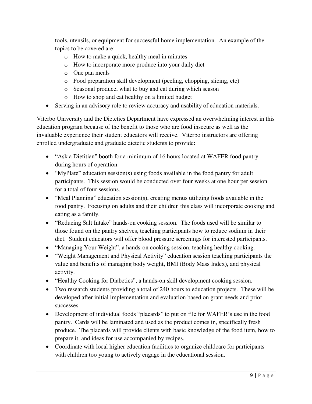tools, utensils, or equipment for successful home implementation. An example of the topics to be covered are:

- o How to make a quick, healthy meal in minutes
- o How to incorporate more produce into your daily diet
- o One pan meals
- o Food preparation skill development (peeling, chopping, slicing, etc)
- o Seasonal produce, what to buy and eat during which season
- o How to shop and eat healthy on a limited budget
- Serving in an advisory role to review accuracy and usability of education materials.

Viterbo University and the Dietetics Department have expressed an overwhelming interest in this education program because of the benefit to those who are food insecure as well as the invaluable experience their student educators will receive. Viterbo instructors are offering enrolled undergraduate and graduate dietetic students to provide:

- "Ask a Dietitian" booth for a minimum of 16 hours located at WAFER food pantry during hours of operation.
- "MyPlate" education session(s) using foods available in the food pantry for adult participants. This session would be conducted over four weeks at one hour per session for a total of four sessions.
- $\bullet$  "Meal Planning" education session(s), creating menus utilizing foods available in the food pantry. Focusing on adults and their children this class will incorporate cooking and eating as a family.
- "Reducing Salt Intake" hands-on cooking session. The foods used will be similar to those found on the pantry shelves, teaching participants how to reduce sodium in their diet. Student educators will offer blood pressure screenings for interested participants.
- "Managing Your Weight", a hands-on cooking session, teaching healthy cooking.
- "Weight Management and Physical Activity" education session teaching participants the value and benefits of managing body weight, BMI (Body Mass Index), and physical activity.
- "Healthy Cooking for Diabetics", a hands-on skill development cooking session.
- Two research students providing a total of 240 hours to education projects. These will be developed after initial implementation and evaluation based on grant needs and prior successes.
- Development of individual foods "placards" to put on file for WAFER's use in the food pantry. Cards will be laminated and used as the product comes in, specifically fresh produce. The placards will provide clients with basic knowledge of the food item, how to prepare it, and ideas for use accompanied by recipes.
- Coordinate with local higher education facilities to organize childcare for participants with children too young to actively engage in the educational session.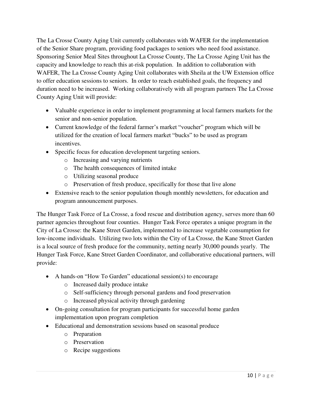The La Crosse County Aging Unit currently collaborates with WAFER for the implementation of the Senior Share program, providing food packages to seniors who need food assistance. Sponsoring Senior Meal Sites throughout La Crosse County, The La Crosse Aging Unit has the capacity and knowledge to reach this at-risk population. In addition to collaboration with WAFER, The La Crosse County Aging Unit collaborates with Sheila at the UW Extension office to offer education sessions to seniors. In order to reach established goals, the frequency and duration need to be increased. Working collaboratively with all program partners The La Crosse County Aging Unit will provide:

- Valuable experience in order to implement programming at local farmers markets for the senior and non-senior population.
- Current knowledge of the federal farmer's market "voucher" program which will be utilized for the creation of local farmers market "bucks" to be used as program incentives.
- Specific focus for education development targeting seniors.
	- o Increasing and varying nutrients
	- o The health consequences of limited intake
	- o Utilizing seasonal produce
	- o Preservation of fresh produce, specifically for those that live alone
- Extensive reach to the senior population though monthly newsletters, for education and program announcement purposes.

The Hunger Task Force of La Crosse, a food rescue and distribution agency, serves more than 60 partner agencies throughout four counties. Hunger Task Force operates a unique program in the City of La Crosse: the Kane Street Garden, implemented to increase vegetable consumption for low-income individuals. Utilizing two lots within the City of La Crosse, the Kane Street Garden is a local source of fresh produce for the community, netting nearly 30,000 pounds yearly. The Hunger Task Force, Kane Street Garden Coordinator, and collaborative educational partners, will provide:

- A hands-on "How To Garden" educational session(s) to encourage
	- o Increased daily produce intake
	- o Self-sufficiency through personal gardens and food preservation
	- o Increased physical activity through gardening
- On-going consultation for program participants for successful home garden implementation upon program completion
- Educational and demonstration sessions based on seasonal produce
	- o Preparation
	- o Preservation
	- o Recipe suggestions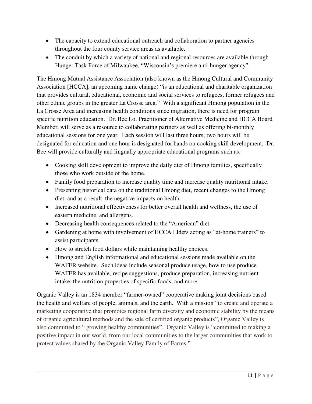- The capacity to extend educational outreach and collaboration to partner agencies throughout the four county service areas as available.
- The conduit by which a variety of national and regional resources are available through Hunger Task Force of Milwaukee, "Wisconsin's premiere anti-hunger agency".

The Hmong Mutual Assistance Association (also known as the Hmong Cultural and Community Association [HCCA], an upcoming name change) "is an educational and charitable organization that provides cultural, educational, economic and social services to refugees, former refugees and other ethnic groups in the greater La Crosse area." With a significant Hmong population in the La Crosse Area and increasing health conditions since migration, there is need for program specific nutrition education. Dr. Bee Lo, Practitioner of Alternative Medicine and HCCA Board Member, will serve as a resource to collaborating partners as well as offering bi-monthly educational sessions for one year. Each session will last three hours; two hours will be designated for education and one hour is designated for hands on cooking skill development. Dr. Bee will provide culturally and lingually appropriate educational programs such as:

- Cooking skill development to improve the daily diet of Hmong families, specifically those who work outside of the home.
- Family food preparation to increase quality time and increase quality nutritional intake.
- Presenting historical data on the traditional Hmong diet, recent changes to the Hmong diet, and as a result, the negative impacts on health.
- Increased nutritional effectiveness for better overall health and wellness, the use of eastern medicine, and allergens.
- Decreasing health consequences related to the "American" diet.
- Gardening at home with involvement of HCCA Elders acting as "at-home trainers" to assist participants.
- How to stretch food dollars while maintaining healthy choices.
- Hmong and English informational and educational sessions made available on the WAFER website. Such ideas include seasonal produce usage, how to use produce WAFER has available, recipe suggestions, produce preparation, increasing nutrient intake, the nutrition properties of specific foods, and more.

Organic Valley is an 1834 member "farmer-owned" cooperative making joint decisions based the health and welfare of people, animals, and the earth. With a mission "to create and operate a marketing cooperative that promotes regional farm diversity and economic stability by the means of organic agricultural methods and the sale of certified organic products", Organic Valley is also committed to " growing healthy communities". Organic Valley is "committed to making a positive impact in our world, from our local communities to the larger communities that work to protect values shared by the Organic Valley Family of Farms."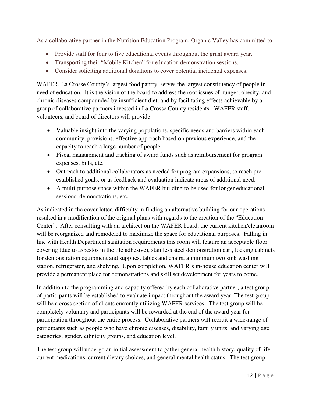As a collaborative partner in the Nutrition Education Program, Organic Valley has committed to:

- Provide staff for four to five educational events throughout the grant award year.
- Transporting their "Mobile Kitchen" for education demonstration sessions.
- Consider soliciting additional donations to cover potential incidental expenses.

WAFER, La Crosse County's largest food pantry, serves the largest constituency of people in need of education. It is the vision of the board to address the root issues of hunger, obesity, and chronic diseases compounded by insufficient diet, and by facilitating effects achievable by a group of collaborative partners invested in La Crosse County residents. WAFER staff, volunteers, and board of directors will provide:

- Valuable insight into the varying populations, specific needs and barriers within each community, provisions, effective approach based on previous experience, and the capacity to reach a large number of people.
- Fiscal management and tracking of award funds such as reimbursement for program expenses, bills, etc.
- Outreach to additional collaborators as needed for program expansions, to reach preestablished goals, or as feedback and evaluation indicate areas of additional need.
- A multi-purpose space within the WAFER building to be used for longer educational sessions, demonstrations, etc.

As indicated in the cover letter, difficulty in finding an alternative building for our operations resulted in a modification of the original plans with regards to the creation of the "Education Center". After consulting with an architect on the WAFER board, the current kitchen/cleanroom will be reorganized and remodeled to maximize the space for educational purposes. Falling in line with Health Department sanitation requirements this room will feature an acceptable floor covering (due to asbestos in the tile adhesive), stainless steel demonstration cart, locking cabinets for demonstration equipment and supplies, tables and chairs, a minimum two sink washing station, refrigerator, and shelving. Upon completion, WAFER's in-house education center will provide a permanent place for demonstrations and skill set development for years to come.

In addition to the programming and capacity offered by each collaborative partner, a test group of participants will be established to evaluate impact throughout the award year. The test group will be a cross section of clients currently utilizing WAFER services. The test group will be completely voluntary and participants will be rewarded at the end of the award year for participation throughout the entire process. Collaborative partners will recruit a wide-range of participants such as people who have chronic diseases, disability, family units, and varying age categories, gender, ethnicity groups, and education level.

The test group will undergo an initial assessment to gather general health history, quality of life, current medications, current dietary choices, and general mental health status. The test group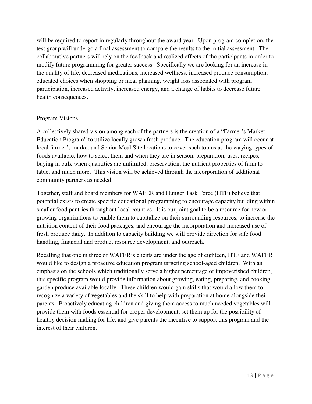will be required to report in regularly throughout the award year. Upon program completion, the test group will undergo a final assessment to compare the results to the initial assessment. The collaborative partners will rely on the feedback and realized effects of the participants in order to modify future programming for greater success. Specifically we are looking for an increase in the quality of life, decreased medications, increased wellness, increased produce consumption, educated choices when shopping or meal planning, weight loss associated with program participation, increased activity, increased energy, and a change of habits to decrease future health consequences.

#### Program Visions

A collectively shared vision among each of the partners is the creation of a "Farmer's Market Education Program" to utilize locally grown fresh produce. The education program will occur at local farmer's market and Senior Meal Site locations to cover such topics as the varying types of foods available, how to select them and when they are in season, preparation, uses, recipes, buying in bulk when quantities are unlimited, preservation, the nutrient properties of farm to table, and much more. This vision will be achieved through the incorporation of additional community partners as needed.

Together, staff and board members for WAFER and Hunger Task Force (HTF) believe that potential exists to create specific educational programming to encourage capacity building within smaller food pantries throughout local counties. It is our joint goal to be a resource for new or growing organizations to enable them to capitalize on their surrounding resources, to increase the nutrition content of their food packages, and encourage the incorporation and increased use of fresh produce daily. In addition to capacity building we will provide direction for safe food handling, financial and product resource development, and outreach.

Recalling that one in three of WAFER's clients are under the age of eighteen, HTF and WAFER would like to design a proactive education program targeting school-aged children. With an emphasis on the schools which traditionally serve a higher percentage of impoverished children, this specific program would provide information about growing, eating, preparing, and cooking garden produce available locally. These children would gain skills that would allow them to recognize a variety of vegetables and the skill to help with preparation at home alongside their parents. Proactively educating children and giving them access to much needed vegetables will provide them with foods essential for proper development, set them up for the possibility of healthy decision making for life, and give parents the incentive to support this program and the interest of their children.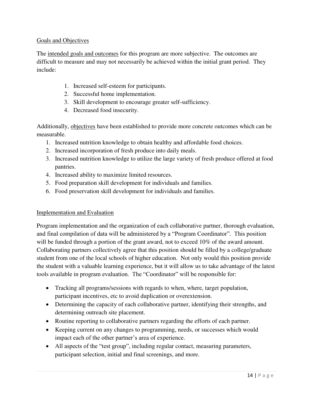## Goals and Objectives

The intended goals and outcomes for this program are more subjective. The outcomes are difficult to measure and may not necessarily be achieved within the initial grant period. They include:

- 1. Increased self-esteem for participants.
- 2. Successful home implementation.
- 3. Skill development to encourage greater self-sufficiency.
- 4. Decreased food insecurity.

Additionally, objectives have been established to provide more concrete outcomes which can be measurable.

- 1. Increased nutrition knowledge to obtain healthy and affordable food choices.
- 2. Increased incorporation of fresh produce into daily meals.
- 3. Increased nutrition knowledge to utilize the large variety of fresh produce offered at food pantries.
- 4. Increased ability to maximize limited resources.
- 5. Food preparation skill development for individuals and families.
- 6. Food preservation skill development for individuals and families.

#### Implementation and Evaluation

Program implementation and the organization of each collaborative partner, thorough evaluation, and final compilation of data will be administered by a "Program Coordinator". This position will be funded through a portion of the grant award, not to exceed 10% of the award amount. Collaborating partners collectively agree that this position should be filled by a college/graduate student from one of the local schools of higher education. Not only would this position provide the student with a valuable learning experience, but it will allow us to take advantage of the latest tools available in program evaluation. The "Coordinator" will be responsible for:

- Tracking all programs/sessions with regards to when, where, target population, participant incentives, etc to avoid duplication or overextension.
- Determining the capacity of each collaborative partner, identifying their strengths, and determining outreach site placement.
- Routine reporting to collaborative partners regarding the efforts of each partner.
- Keeping current on any changes to programming, needs, or successes which would impact each of the other partner's area of experience.
- All aspects of the "test group", including regular contact, measuring parameters, participant selection, initial and final screenings, and more.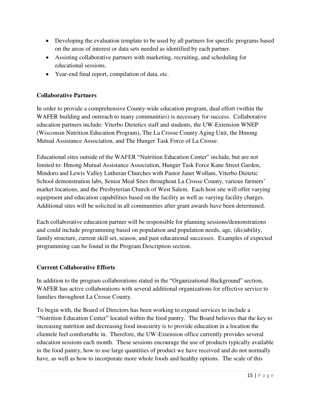- Developing the evaluation template to be used by all partners for specific programs based on the areas of interest or data sets needed as identified by each partner.
- Assisting collaborative partners with marketing, recruiting, and scheduling for educational sessions.
- Year-end final report, compilation of data, etc.

# **Collaborative Partners**

In order to provide a comprehensive County-wide education program, dual effort (within the WAFER building and outreach to many communities) is necessary for success. Collaborative education partners include: Viterbo Dietetics staff and students, the UW-Extension WNEP (Wisconsin Nutrition Education Program), The La Crosse County Aging Unit, the Hmong Mutual Assistance Association, and The Hunger Task Force of La Crosse.

Educational sites outside of the WAFER "Nutrition Education Center" include, but are not limited to: Hmong Mutual Assistance Association, Hunger Task Force Kane Street Garden, Mindoro and Lewis Valley Lutheran Churches with Pastor Janet Wollam, Viterbo Dietetic School demonstration labs, Senior Meal Sites throughout La Crosse County, various farmers' market locations, and the Presbyterian Church of West Salem. Each host site will offer varying equipment and education capabilities based on the facility as well as varying facility charges. Additional sites will be solicited in all communities after grant awards have been determined.

Each collaborative education partner will be responsible for planning sessions/demonstrations and could include programming based on population and population needs, age, (dis)ability, family structure, current skill set, season, and past educational successes. Examples of expected programming can be found in the Program Description section.

# **Current Collaborative Efforts**

In addition to the program collaborations stated in the "Organizational Background" section, WAFER has active collaborations with several additional organizations for effective service to families throughout La Crosse County.

To begin with, the Board of Directors has been working to expand services to include a "Nutrition Education Center" located within the food pantry. The Board believes that the key to increasing nutrition and decreasing food insecurity is to provide education in a location the clientele feel comfortable in. Therefore, the UW-Extension office currently provides several education sessions each month. These sessions encourage the use of products typically available in the food pantry, how to use large quantities of product we have received and do not normally have, as well as how to incorporate more whole foods and healthy options. The scale of this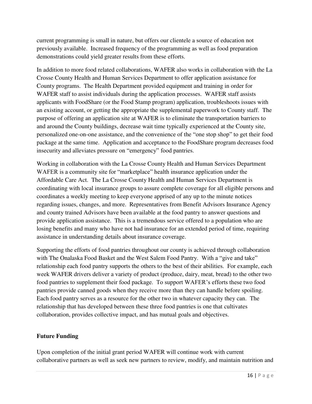current programming is small in nature, but offers our clientele a source of education not previously available. Increased frequency of the programming as well as food preparation demonstrations could yield greater results from these efforts.

In addition to more food related collaborations, WAFER also works in collaboration with the La Crosse County Health and Human Services Department to offer application assistance for County programs. The Health Department provided equipment and training in order for WAFER staff to assist individuals during the application processes. WAFER staff assists applicants with FoodShare (or the Food Stamp program) application, troubleshoots issues with an existing account, or getting the appropriate the supplemental paperwork to County staff. The purpose of offering an application site at WAFER is to eliminate the transportation barriers to and around the County buildings, decrease wait time typically experienced at the County site, personalized one-on-one assistance, and the convenience of the "one stop shop" to get their food package at the same time. Application and acceptance to the FoodShare program decreases food insecurity and alleviates pressure on "emergency" food pantries.

Working in collaboration with the La Crosse County Health and Human Services Department WAFER is a community site for "marketplace" health insurance application under the Affordable Care Act. The La Crosse County Health and Human Services Department is coordinating with local insurance groups to assure complete coverage for all eligible persons and coordinates a weekly meeting to keep everyone apprised of any up to the minute notices regarding issues, changes, and more. Representatives from Benefit Advisors Insurance Agency and county trained Advisors have been available at the food pantry to answer questions and provide application assistance. This is a tremendous service offered to a population who are losing benefits and many who have not had insurance for an extended period of time, requiring assistance in understanding details about insurance coverage.

Supporting the efforts of food pantries throughout our county is achieved through collaboration with The Onalaska Food Basket and the West Salem Food Pantry. With a "give and take" relationship each food pantry supports the others to the best of their abilities. For example, each week WAFER drivers deliver a variety of product (produce, dairy, meat, bread) to the other two food pantries to supplement their food package. To support WAFER's efforts these two food pantries provide canned goods when they receive more than they can handle before spoiling. Each food pantry serves as a resource for the other two in whatever capacity they can. The relationship that has developed between these three food pantries is one that cultivates collaboration, provides collective impact, and has mutual goals and objectives.

#### **Future Funding**

Upon completion of the initial grant period WAFER will continue work with current collaborative partners as well as seek new partners to review, modify, and maintain nutrition and